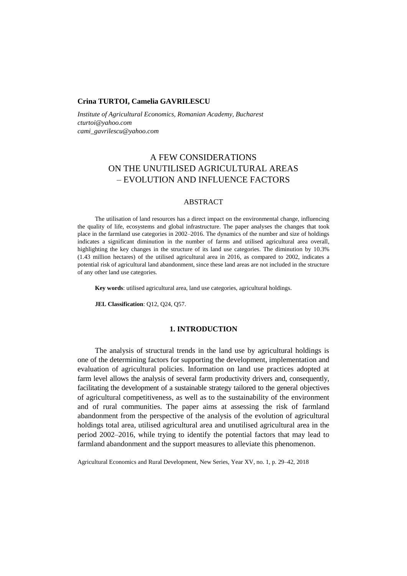## **Crina TURTOI, Camelia GAVRILESCU**

*Institute of Agricultural Economics, Romanian Academy, Bucharest cturtoi@yahoo.com cami\_gavrilescu@yahoo.com*

# A FEW CONSIDERATIONS ON THE UNUTILISED AGRICULTURAL AREAS – EVOLUTION AND INFLUENCE FACTORS

## ABSTRACT

The utilisation of land resources has a direct impact on the environmental change, influencing the quality of life, ecosystems and global infrastructure. The paper analyses the changes that took place in the farmland use categories in 2002–2016. The dynamics of the number and size of holdings indicates a significant diminution in the number of farms and utilised agricultural area overall, highlighting the key changes in the structure of its land use categories. The diminution by 10.3% (1.43 million hectares) of the utilised agricultural area in 2016, as compared to 2002, indicates a potential risk of agricultural land abandonment, since these land areas are not included in the structure of any other land use categories.

**Key words**: utilised agricultural area, land use categories, agricultural holdings.

**JEL Classification**: Q12, Q24, Q57.

## **1. INTRODUCTION**

The analysis of structural trends in the land use by agricultural holdings is one of the determining factors for supporting the development, implementation and evaluation of agricultural policies. Information on land use practices adopted at farm level allows the analysis of several farm productivity drivers and, consequently, facilitating the development of a sustainable strategy tailored to the general objectives of agricultural competitiveness, as well as to the sustainability of the environment and of rural communities. The paper aims at assessing the risk of farmland abandonment from the perspective of the analysis of the evolution of agricultural holdings total area, utilised agricultural area and unutilised agricultural area in the period 2002–2016, while trying to identify the potential factors that may lead to farmland abandonment and the support measures to alleviate this phenomenon.

Agricultural Economics and Rural Development, New Series, Year XV, no. 1, p. 29–42, 2018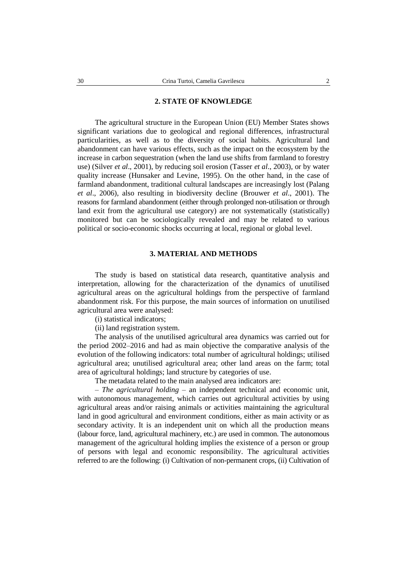## **2. STATE OF KNOWLEDGE**

The agricultural structure in the European Union (EU) Member States shows significant variations due to geological and regional differences, infrastructural particularities, as well as to the diversity of social habits. Agricultural land abandonment can have various effects, such as the impact on the ecosystem by the increase in carbon sequestration (when the land use shifts from farmland to forestry use) (Silver *et al*., 2001), by reducing soil erosion (Tasser *et al*., 2003), or by water quality increase (Hunsaker and Levine, 1995). On the other hand, in the case of farmland abandonment, traditional cultural landscapes are increasingly lost (Palang *et al*., 2006), also resulting in biodiversity decline (Brouwer *et al*., 2001). The reasons for farmland abandonment (either through prolonged non-utilisation or through land exit from the agricultural use category) are not systematically (statistically) monitored but can be sociologically revealed and may be related to various political or socio-economic shocks occurring at local, regional or global level.

# **3. MATERIAL AND METHODS**

The study is based on statistical data research, quantitative analysis and interpretation, allowing for the characterization of the dynamics of unutilised agricultural areas on the agricultural holdings from the perspective of farmland abandonment risk. For this purpose, the main sources of information on unutilised agricultural area were analysed:

(i) statistical indicators;

(ii) land registration system.

The analysis of the unutilised agricultural area dynamics was carried out for the period 2002–2016 and had as main objective the comparative analysis of the evolution of the following indicators: total number of agricultural holdings; utilised agricultural area; unutilised agricultural area; other land areas on the farm; total area of agricultural holdings; land structure by categories of use.

The metadata related to the main analysed area indicators are:

– *The agricultural holding* – an independent technical and economic unit, with autonomous management, which carries out agricultural activities by using agricultural areas and/or raising animals or activities maintaining the agricultural land in good agricultural and environment conditions, either as main activity or as secondary activity. It is an independent unit on which all the production means (labour force, land, agricultural machinery, etc.) are used in common. The autonomous management of the agricultural holding implies the existence of a person or group of persons with legal and economic responsibility. The agricultural activities referred to are the following: (i) Cultivation of non-permanent crops, (ii) Cultivation of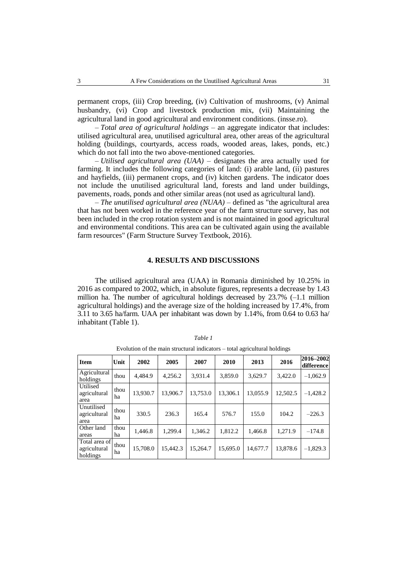permanent crops, (iii) Crop breeding, (iv) Cultivation of mushrooms, (v) Animal husbandry, (vi) Crop and livestock production mix, (vii) Maintaining the agricultural land in good agricultural and environment conditions. (insse.ro).

*– Total area of agricultural holdings* – an aggregate indicator that includes: utilised agricultural area, unutilised agricultural area, other areas of the agricultural holding (buildings, courtyards, access roads, wooded areas, lakes, ponds, etc.) which do not fall into the two above-mentioned categories.

*– Utilised agricultural area (UAA)* – designates the area actually used for farming. It includes the following categories of land: (i) arable land, (ii) pastures and hayfields, (iii) permanent crops, and (iv) kitchen gardens. The indicator does not include the unutilised agricultural land, forests and land under buildings, pavements, roads, ponds and other similar areas (not used as agricultural land).

*– The unutilised agricultural area (NUAA)* – defined as "the agricultural area that has not been worked in the reference year of the farm structure survey, has not been included in the crop rotation system and is not maintained in good agricultural and environmental conditions. This area can be cultivated again using the available farm resources" (Farm Structure Survey Textbook, 2016).

## **4. RESULTS AND DISCUSSIONS**

The utilised agricultural area (UAA) in Romania diminished by 10.25% in 2016 as compared to 2002, which, in absolute figures, represents a decrease by 1.43 million ha. The number of agricultural holdings decreased by  $23.7\%$  (-1.1 million agricultural holdings) and the average size of the holding increased by 17.4%, from 3.11 to 3.65 ha/farm. UAA per inhabitant was down by 1.14%, from 0.64 to 0.63 ha/ inhabitant (Table 1).

| <b>Item</b>                               | Unit       | 2002     | 2005     | 2007     | 2010     | 2013     | 2016     | 2016-2002<br>difference |
|-------------------------------------------|------------|----------|----------|----------|----------|----------|----------|-------------------------|
| Agricultural<br>holdings                  | thou       | 4.484.9  | 4.256.2  | 3,931.4  | 3,859.0  | 3,629.7  | 3,422.0  | $-1.062.9$              |
| Utilised<br>agricultural<br>area          | thou<br>ha | 13,930.7 | 13,906.7 | 13,753.0 | 13.306.1 | 13.055.9 | 12,502.5 | $-1.428.2$              |
| Unutilised<br>agricultural<br>area        | thou<br>ha | 330.5    | 236.3    | 165.4    | 576.7    | 155.0    | 104.2    | $-226.3$                |
| Other land<br>areas                       | thou<br>ha | 1,446.8  | 1.299.4  | 1,346.2  | 1,812.2  | 1,466.8  | 1,271.9  | $-174.8$                |
| Total area of<br>agricultural<br>holdings | thou<br>ha | 15,708.0 | 15.442.3 | 15,264.7 | 15,695.0 | 14,677.7 | 13,878.6 | $-1,829.3$              |

*Table 1* Evolution of the main structural indicators – total agricultural holdings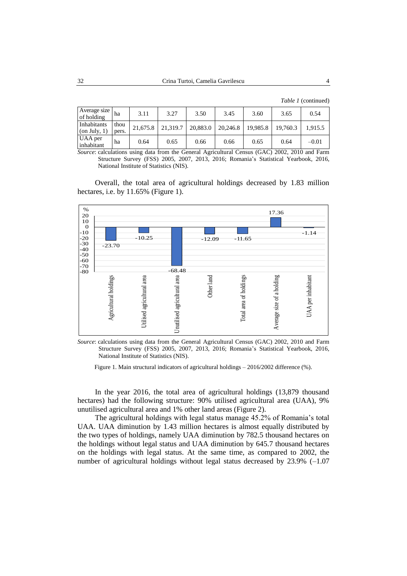*Table 1* (continued)

| Average size<br>of holding     | ha            | 3.11     | 3.27     | 3.50     | 3.45     | 3.60     | 3.65     | 0.54    |
|--------------------------------|---------------|----------|----------|----------|----------|----------|----------|---------|
| Inhabitants<br>(on July, $1$ ) | thou<br>pers. | 21,675.8 | 21,319.7 | 20,883.0 | 20,246.8 | 19,985.8 | 19.760.3 | 1.915.5 |
| UAA per<br>inhabitant          | ha            | 0.64     | 0.65     | 0.66     | 0.66     | 0.65     | 0.64     | $-0.01$ |

*Source*: calculations using data from the General Agricultural Census (GAC) 2002, 2010 and Farm Structure Survey (FSS) 2005, 2007, 2013, 2016; Romania's Statistical Yearbook, 2016, National Institute of Statistics (NIS).

Overall, the total area of agricultural holdings decreased by 1.83 million hectares, i.e. by 11.65% (Figure 1).



*Source*: calculations using data from the General Agricultural Census (GAC) 2002, 2010 and Farm Structure Survey (FSS) 2005, 2007, 2013, 2016; Romania's Statistical Yearbook, 2016, National Institute of Statistics (NIS).

Figure 1. Main structural indicators of agricultural holdings – 2016/2002 difference (%).

In the year 2016, the total area of agricultural holdings (13,879 thousand hectares) had the following structure: 90% utilised agricultural area (UAA), 9% unutilised agricultural area and 1% other land areas (Figure 2).

The agricultural holdings with legal status manage 45.2% of Romania's total UAA. UAA diminution by 1.43 million hectares is almost equally distributed by the two types of holdings, namely UAA diminution by 782.5 thousand hectares on the holdings without legal status and UAA diminution by 645.7 thousand hectares on the holdings with legal status. At the same time, as compared to 2002, the number of agricultural holdings without legal status decreased by 23.9% (–1.07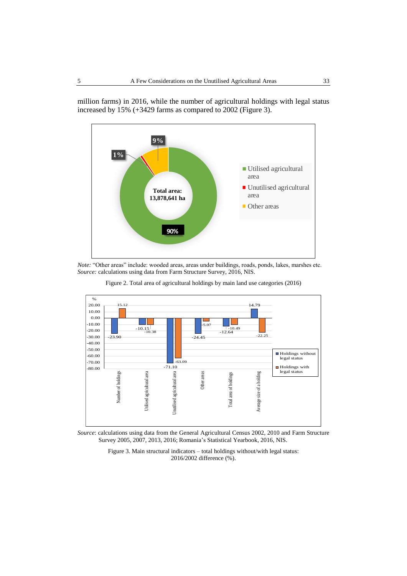



*Note:* "Other areas" include: wooded areas, areas under buildings, roads, ponds, lakes, marshes etc. *Source:* calculations using data from Farm Structure Survey, 2016, NIS.





*Source*: calculations using data from the General Agricultural Census 2002, 2010 and Farm Structure Survey 2005, 2007, 2013, 2016; Romania's Statistical Yearbook, 2016, NIS.

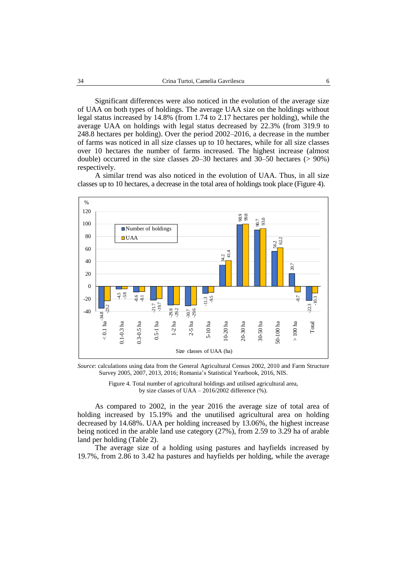Significant differences were also noticed in the evolution of the average size of UAA on both types of holdings. The average UAA size on the holdings without legal status increased by 14.8% (from 1.74 to 2.17 hectares per holding), while the average UAA on holdings with legal status decreased by 22.3% (from 319.9 to 248.8 hectares per holding). Over the period 2002–2016, a decrease in the number of farms was noticed in all size classes up to 10 hectares, while for all size classes over 10 hectares the number of farms increased. The highest increase (almost double) occurred in the size classes 20–30 hectares and 30–50 hectares (> 90%) respectively.

A similar trend was also noticed in the evolution of UAA. Thus, in all size classes up to 10 hectares, a decrease in the total area of holdings took place (Figure 4).



*Source*: calculations using data from the General Agricultural Census 2002, 2010 and Farm Structure Survey 2005, 2007, 2013, 2016; Romania's Statistical Yearbook, 2016, NIS.

Figure 4. Total number of agricultural holdings and utilised agricultural area, by size classes of UAA – 2016/2002 difference (%).

As compared to 2002, in the year 2016 the average size of total area of holding increased by 15.19% and the unutilised agricultural area on holding decreased by 14.68%. UAA per holding increased by 13.06%, the highest increase being noticed in the arable land use category (27%), from 2.59 to 3.29 ha of arable land per holding (Table 2).

The average size of a holding using pastures and hayfields increased by 19.7%, from 2.86 to 3.42 ha pastures and hayfields per holding, while the average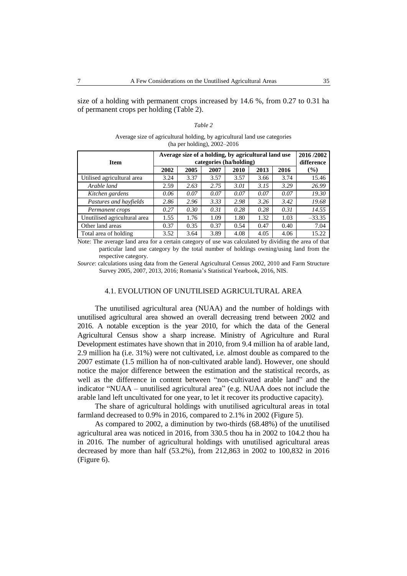size of a holding with permanent crops increased by 14.6 %, from 0.27 to 0.31 ha of permanent crops per holding (Table 2).

| ani |  |
|-----|--|

### Average size of agricultural holding, by agricultural land use categories (ha per holding), 2002–2016

| <b>Item</b>                  | Average size of a holding, by agricultural land use | 2016/2002<br>difference |      |      |      |      |               |
|------------------------------|-----------------------------------------------------|-------------------------|------|------|------|------|---------------|
|                              | 2002                                                | 2005                    | 2007 | 2010 | 2013 | 2016 | $\frac{1}{2}$ |
| Utilised agricultural area   | 3.24                                                | 3.37                    | 3.57 | 3.57 | 3.66 | 3.74 | 15.46         |
| Arable land                  | 2.59                                                | 2.63                    | 2.75 | 3.01 | 3.15 | 3.29 | 26.99         |
| Kitchen gardens              | 0.06                                                | 0.07                    | 0.07 | 0.07 | 0.07 | 0.07 | 19.30         |
| Pastures and hayfields       | 2.86                                                | 2.96                    | 3.33 | 2.98 | 3.26 | 3.42 | 19.68         |
| Permanent crops              | 0.27                                                | 0.30                    | 0.31 | 0.28 | 0.28 | 0.31 | 14.55         |
| Unutilised agricultural area | 1.55                                                | 1.76                    | 1.09 | 1.80 | 1.32 | 1.03 | $-33.35$      |
| Other land areas             | 0.37                                                | 0.35                    | 0.37 | 0.54 | 0.47 | 0.40 | 7.04          |
| Total area of holding        | 3.52                                                | 3.64                    | 3.89 | 4.08 | 4.05 | 4.06 | 15.22         |

Note: The average land area for a certain category of use was calculated by dividing the area of that particular land use category by the total number of holdings owning/using land from the respective category.

*Source*: calculations using data from the General Agricultural Census 2002, 2010 and Farm Structure Survey 2005, 2007, 2013, 2016; Romania's Statistical Yearbook, 2016, NIS.

## 4.1. EVOLUTION OF UNUTILISED AGRICULTURAL AREA

The unutilised agricultural area (NUAA) and the number of holdings with unutilised agricultural area showed an overall decreasing trend between 2002 and 2016. A notable exception is the year 2010, for which the data of the General Agricultural Census show a sharp increase. Ministry of Agriculture and Rural Development estimates have shown that in 2010, from 9.4 million ha of arable land, 2.9 million ha (i.e. 31%) were not cultivated, i.e. almost double as compared to the 2007 estimate (1.5 million ha of non-cultivated arable land). However, one should notice the major difference between the estimation and the statistical records, as well as the difference in content between "non-cultivated arable land" and the indicator "NUAA – unutilised agricultural area" (e.g. NUAA does not include the arable land left uncultivated for one year, to let it recover its productive capacity).

The share of agricultural holdings with unutilised agricultural areas in total farmland decreased to 0.9% in 2016, compared to 2.1% in 2002 (Figure 5).

As compared to 2002, a diminution by two-thirds (68.48%) of the unutilised agricultural area was noticed in 2016, from 330.5 thou ha in 2002 to 104.2 thou ha in 2016. The number of agricultural holdings with unutilised agricultural areas decreased by more than half (53.2%), from 212,863 in 2002 to 100,832 in 2016 (Figure 6).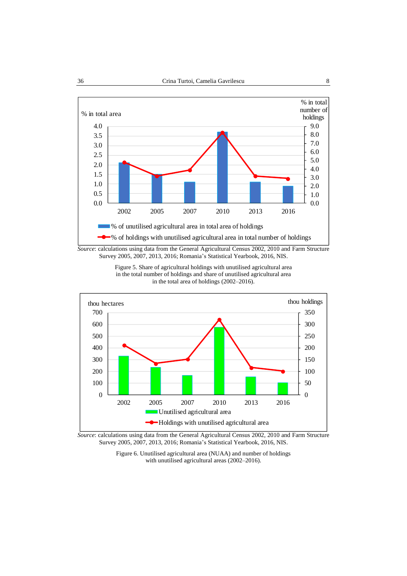







*Source*: calculations using data from the General Agricultural Census 2002, 2010 and Farm Structure Survey 2005, 2007, 2013, 2016; Romania's Statistical Yearbook, 2016, NIS.

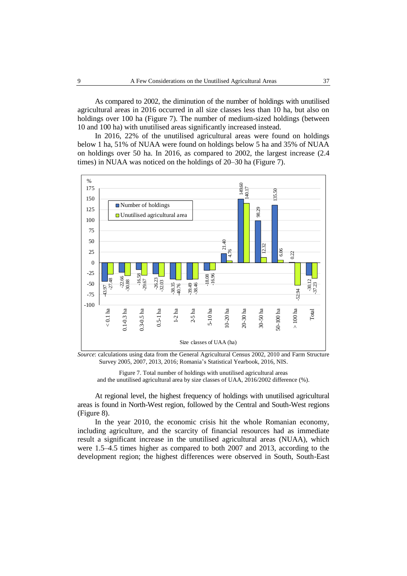As compared to 2002, the diminution of the number of holdings with unutilised agricultural areas in 2016 occurred in all size classes less than 10 ha, but also on holdings over 100 ha (Figure 7). The number of medium-sized holdings (between 10 and 100 ha) with unutilised areas significantly increased instead.

In 2016, 22% of the unutilised agricultural areas were found on holdings below 1 ha, 51% of NUAA were found on holdings below 5 ha and 35% of NUAA on holdings over 50 ha. In 2016, as compared to 2002, the largest increase (2.4 times) in NUAA was noticed on the holdings of 20–30 ha (Figure 7).



*Source*: calculations using data from the General Agricultural Census 2002, 2010 and Farm Structure Survey 2005, 2007, 2013, 2016; Romania's Statistical Yearbook, 2016, NIS.

Figure 7. Total number of holdings with unutilised agricultural areas and the unutilised agricultural area by size classes of UAA, 2016/2002 difference (%).

At regional level, the highest frequency of holdings with unutilised agricultural areas is found in North-West region, followed by the Central and South-West regions (Figure 8).

In the year 2010, the economic crisis hit the whole Romanian economy, including agriculture, and the scarcity of financial resources had as immediate result a significant increase in the unutilised agricultural areas (NUAA), which were 1.5–4.5 times higher as compared to both 2007 and 2013, according to the development region; the highest differences were observed in South, South-East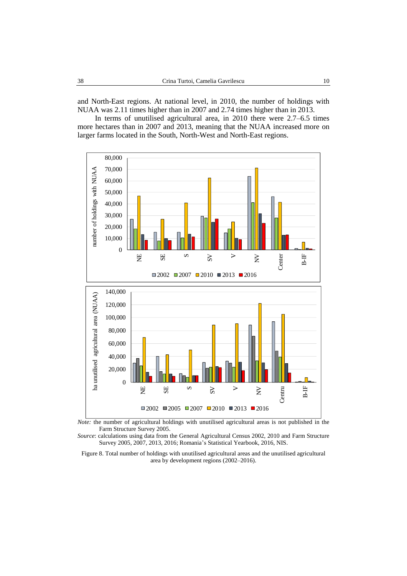and North-East regions. At national level, in 2010, the number of holdings with NUAA was 2.11 times higher than in 2007 and 2.74 times higher than in 2013.

In terms of unutilised agricultural area, in 2010 there were 2.7–6.5 times more hectares than in 2007 and 2013, meaning that the NUAA increased more on larger farms located in the South, North-West and North-East regions.



*Note:* the number of agricultural holdings with unutilised agricultural areas is not published in the Farm Structure Survey 2005.

*Source*: calculations using data from the General Agricultural Census 2002, 2010 and Farm Structure Survey 2005, 2007, 2013, 2016; Romania's Statistical Yearbook, 2016, NIS.

Figure 8. Total number of holdings with unutilised agricultural areas and the unutilised agricultural area by development regions (2002–2016).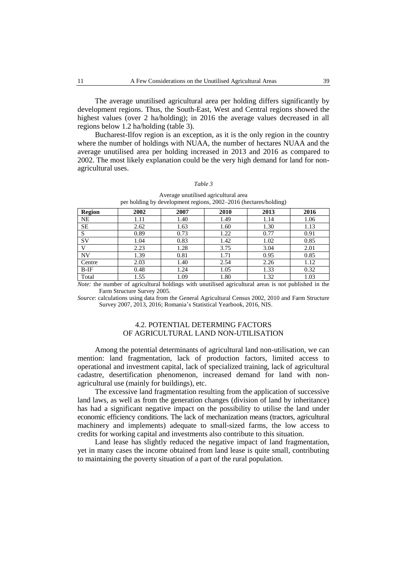The average unutilised agricultural area per holding differs significantly by development regions. Thus, the South-East, West and Central regions showed the highest values (over 2 ha/holding); in 2016 the average values decreased in all regions below 1.2 ha/holding (table 3).

Bucharest-Ilfov region is an exception, as it is the only region in the country where the number of holdings with NUAA, the number of hectares NUAA and the average unutilised area per holding increased in 2013 and 2016 as compared to 2002. The most likely explanation could be the very high demand for land for nonagricultural uses.

#### *Table 3*

| <b>Region</b> | 2002 | 2007 | 2010 | 2013 | 2016 |
|---------------|------|------|------|------|------|
| <b>NE</b>     | 1.11 | 1.40 | 1.49 | 1.14 | 1.06 |
| <b>SE</b>     | 2.62 | 1.63 | 1.60 | 1.30 | 1.13 |
| S             | 0.89 | 0.73 | 1.22 | 0.77 | 0.91 |
| <b>SV</b>     | 1.04 | 0.83 | 1.42 | 1.02 | 0.85 |
| v             | 2.23 | 1.28 | 3.75 | 3.04 | 2.01 |
| NV            | 1.39 | 0.81 | 1.71 | 0.95 | 0.85 |
| Centre        | 2.03 | 1.40 | 2.54 | 2.26 | 1.12 |
| $B-IF$        | 0.48 | 1.24 | 1.05 | 1.33 | 0.32 |
| Total         | 1.55 | 1.09 | 1.80 | 1.32 | 1.03 |

Average unutilised agricultural area per holding by development regions, 2002–2016 (hectares/holding)

*Note:* the number of agricultural holdings with unutilised agricultural areas is not published in the Farm Structure Survey 2005.

*Source*: calculations using data from the General Agricultural Census 2002, 2010 and Farm Structure Survey 2007, 2013, 2016; Romania's Statistical Yearbook, 2016, NIS.

## 4.2. POTENTIAL DETERMING FACTORS OF AGRICULTURAL LAND NON-UTILISATION

Among the potential determinants of agricultural land non-utilisation, we can mention: land fragmentation, lack of production factors, limited access to operational and investment capital, lack of specialized training, lack of agricultural cadastre, desertification phenomenon, increased demand for land with nonagricultural use (mainly for buildings), etc.

The excessive land fragmentation resulting from the application of successive land laws, as well as from the generation changes (division of land by inheritance) has had a significant negative impact on the possibility to utilise the land under economic efficiency conditions. The lack of mechanization means (tractors, agricultural machinery and implements) adequate to small-sized farms, the low access to credits for working capital and investments also contribute to this situation.

Land lease has slightly reduced the negative impact of land fragmentation, yet in many cases the income obtained from land lease is quite small, contributing to maintaining the poverty situation of a part of the rural population.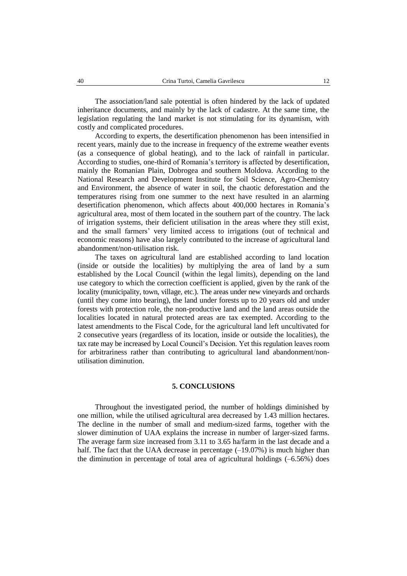The association/land sale potential is often hindered by the lack of updated inheritance documents, and mainly by the lack of cadastre. At the same time, the legislation regulating the land market is not stimulating for its dynamism, with costly and complicated procedures.

According to experts, the desertification phenomenon has been intensified in recent years, mainly due to the increase in frequency of the extreme weather events (as a consequence of global heating), and to the lack of rainfall in particular. According to studies, one-third of Romania's territory is affected by desertification, mainly the Romanian Plain, Dobrogea and southern Moldova. According to the National Research and Development Institute for Soil Science, Agro-Chemistry and Environment, the absence of water in soil, the chaotic deforestation and the temperatures rising from one summer to the next have resulted in an alarming desertification phenomenon, which affects about 400,000 hectares in Romania's agricultural area, most of them located in the southern part of the country. The lack of irrigation systems, their deficient utilisation in the areas where they still exist, and the small farmers' very limited access to irrigations (out of technical and economic reasons) have also largely contributed to the increase of agricultural land abandonment/non-utilisation risk.

The taxes on agricultural land are established according to land location (inside or outside the localities) by multiplying the area of land by a sum established by the Local Council (within the legal limits), depending on the land use category to which the correction coefficient is applied, given by the rank of the locality (municipality, town, village, etc.). The areas under new vineyards and orchards (until they come into bearing), the land under forests up to 20 years old and under forests with protection role, the non-productive land and the land areas outside the localities located in natural protected areas are tax exempted. According to the latest amendments to the Fiscal Code, for the agricultural land left uncultivated for 2 consecutive years (regardless of its location, inside or outside the localities), the tax rate may be increased by Local Council's Decision. Yet this regulation leaves room for arbitrariness rather than contributing to agricultural land abandonment/nonutilisation diminution.

## **5. CONCLUSIONS**

Throughout the investigated period, the number of holdings diminished by one million, while the utilised agricultural area decreased by 1.43 million hectares. The decline in the number of small and medium-sized farms, together with the slower diminution of UAA explains the increase in number of larger-sized farms. The average farm size increased from 3.11 to 3.65 ha/farm in the last decade and a half. The fact that the UAA decrease in percentage  $(-19.07%)$  is much higher than the diminution in percentage of total area of agricultural holdings (–6.56%) does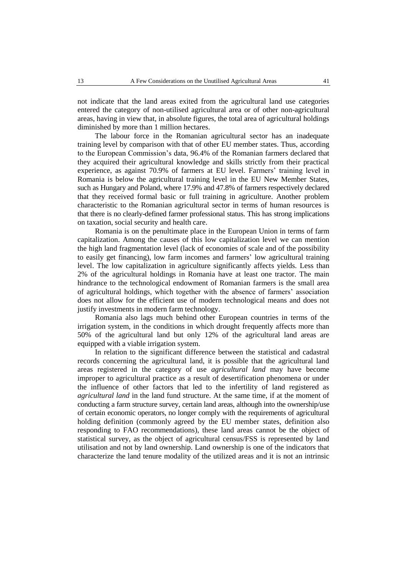not indicate that the land areas exited from the agricultural land use categories entered the category of non-utilised agricultural area or of other non-agricultural areas, having in view that, in absolute figures, the total area of agricultural holdings diminished by more than 1 million hectares.

The labour force in the Romanian agricultural sector has an inadequate training level by comparison with that of other EU member states. Thus, according to the European Commission's data, 96.4% of the Romanian farmers declared that they acquired their agricultural knowledge and skills strictly from their practical experience, as against 70.9% of farmers at EU level. Farmers' training level in Romania is below the agricultural training level in the EU New Member States, such as Hungary and Poland, where 17.9% and 47.8% of farmers respectively declared that they received formal basic or full training in agriculture. Another problem characteristic to the Romanian agricultural sector in terms of human resources is that there is no clearly-defined farmer professional status. This has strong implications on taxation, social security and health care.

Romania is on the penultimate place in the European Union in terms of farm capitalization. Among the causes of this low capitalization level we can mention the high land fragmentation level (lack of economies of scale and of the possibility to easily get financing), low farm incomes and farmers' low agricultural training level. The low capitalization in agriculture significantly affects yields. Less than 2% of the agricultural holdings in Romania have at least one tractor. The main hindrance to the technological endowment of Romanian farmers is the small area of agricultural holdings, which together with the absence of farmers' association does not allow for the efficient use of modern technological means and does not justify investments in modern farm technology.

Romania also lags much behind other European countries in terms of the irrigation system, in the conditions in which drought frequently affects more than 50% of the agricultural land but only 12% of the agricultural land areas are equipped with a viable irrigation system.

In relation to the significant difference between the statistical and cadastral records concerning the agricultural land, it is possible that the agricultural land areas registered in the category of use *agricultural land* may have become improper to agricultural practice as a result of desertification phenomena or under the influence of other factors that led to the infertility of land registered as *agricultural land* in the land fund structure. At the same time, if at the moment of conducting a farm structure survey, certain land areas, although into the ownership/use of certain economic operators, no longer comply with the requirements of agricultural holding definition (commonly agreed by the EU member states, definition also responding to FAO recommendations), these land areas cannot be the object of statistical survey, as the object of agricultural census/FSS is represented by land utilisation and not by land ownership. Land ownership is one of the indicators that characterize the land tenure modality of the utilized areas and it is not an intrinsic